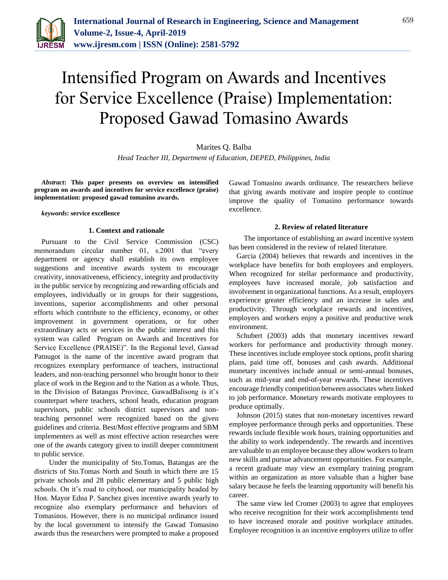

# Intensified Program on Awards and Incentives for Service Excellence (Praise) Implementation: Proposed Gawad Tomasino Awards

Marites Q. Balba

*Head Teacher III, Department of Education, DEPED, Philippines, India*

*Abstract***: This paper presents on overview on intensified program on awards and incentives for service excellence (praise) implementation: proposed gawad tomasino awards.**

#### *keywords***: service excellence**

## **1. Context and rationale**

Pursuant to the Civil Service Commission (CSC) memorandum circular number 01, s.2001 that "every department or agency shall establish its own employee suggestions and incentive awards system to encourage creativity, innovativeness, efficiency, integrity and productivity in the public service by recognizing and rewarding officials and employees, individually or in groups for their suggestions, inventions, superior accomplishments and other personal efforts which contribute to the efficiency, economy, or other improvement in government operations, or for other extraordinary acts or services in the public interest and this system was called Program on Awards and Incentives for Service Excellence (PRAISE)". In the Regional level, Gawad Patnugot is the name of the incentive award program that recognizes exemplary performance of teachers, instructional leaders, and non-teaching personnel who brought honor to their place of work in the Region and to the Nation as a whole. Thus, in the Division of Batangas Province, GawadBalisong is it's counterpart where teachers, school heads, education program supervisors, public schools district supervisors and nonteaching personnel were recognized based on the given guidelines and criteria. Best/Most effective programs and SBM implementers as well as most effective action researches were one of the awards category given to instill deeper commitment to public service.

Under the municipality of Sto.Tomas, Batangas are the districts of Sto.Tomas North and South in which there are 15 private schools and 28 public elementary and 5 public high schools. On it's road to cityhood, our municipality headed by Hon. Mayor Edna P. Sanchez gives incentive awards yearly to recognize also exemplary performance and behaviors of Tomasinos. However, there is no municipal ordinance issued by the local government to intensify the Gawad Tomasino awards thus the researchers were prompted to make a proposed

Gawad Tomasino awards ordinance. The researchers believe that giving awards motivate and inspire people to continue improve the quality of Tomasino performance towards excellence.

## **2. Review of related literature**

The importance of establishing an award incentive system has been considered in the review of related literature.

Garcia (2004) believes that rewards and incentives in the workplace have benefits for both employees and employers. When recognized for stellar performance and productivity, employees have increased morale, job satisfaction and involvement in organizational functions. As a result, employers experience greater efficiency and an increase in sales and productivity. Through workplace rewards and incentives, employers and workers enjoy a positive and productive work environment.

Schubert (2003) adds that monetary incentives reward workers for performance and productivity through money. These incentives include employee stock options, profit sharing plans, paid time off, bonuses and cash awards. Additional monetary incentives include annual or semi-annual bonuses, such as mid-year and end-of-year rewards. These incentives encourage friendly competition between associates when linked to job performance. Monetary rewards motivate employees to produce optimally.

Johnson (2015) states that non-monetary incentives reward employee performance through perks and opportunities. These rewards include flexible work hours, training opportunities and the ability to work independently. The rewards and incentives are valuable to an employee because they allow workers to learn new skills and pursue advancement opportunities. For example, a recent graduate may view an exemplary training program within an organization as more valuable than a higher base salary because he feels the learning opportunity will benefit his career.

The same view led Cromer (2003) to agree that employees who receive recognition for their work accomplishments tend to have increased morale and positive workplace attitudes. Employee recognition is an incentive employers utilize to offer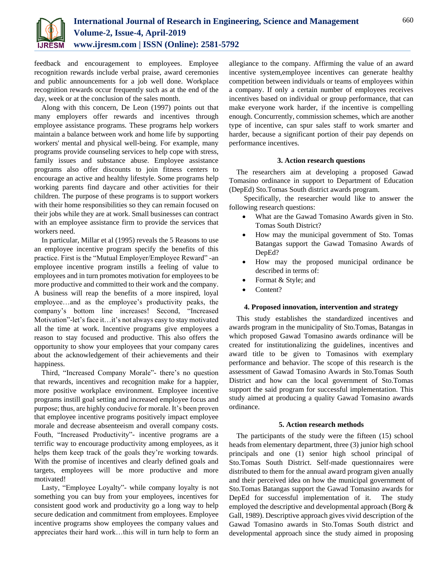

feedback and encouragement to employees. Employee recognition rewards include verbal praise, award ceremonies and public announcements for a job well done. Workplace recognition rewards occur frequently such as at the end of the day, week or at the conclusion of the sales month.

Along with this concern, De Leon (1997) points out that many employers offer rewards and incentives through employee assistance programs. These programs help workers maintain a balance between work and home life by supporting workers' mental and physical well-being. For example, many programs provide counseling services to help cope with stress, family issues and substance abuse. Employee assistance programs also offer discounts to join fitness centers to encourage an active and healthy lifestyle. Some programs help working parents find daycare and other activities for their children. The purpose of these programs is to support workers with their home responsibilities so they can remain focused on their jobs while they are at work. Small businesses can contract with an employee assistance firm to provide the services that workers need.

In particular, Millar et al (1995) reveals the 5 Reasons to use an employee incentive program specify the benefits of this practice. First is the "Mutual Employer/Employee Reward" -an employee incentive program instills a feeling of value to employees and in turn promotes motivation for employees to be more productive and committed to their work and the company. A business will reap the benefits of a more inspired, loyal employee…and as the employee's productivity peaks, the company's bottom line increases! Second, "Increased Motivation"-let's face it…it's not always easy to stay motivated all the time at work. Incentive programs give employees a reason to stay focused and productive. This also offers the opportunity to show your employees that your company cares about the acknowledgement of their achievements and their happiness.

Third, "Increased Company Morale"- there's no question that rewards, incentives and recognition make for a happier, more positive workplace environment. Employee incentive programs instill goal setting and increased employee focus and purpose; thus, are highly conducive for morale. It's been proven that employee incentive programs positively impact employee morale and decrease absenteeism and overall company costs. Fouth, "Increased Productivity"- incentive programs are a terrific way to encourage productivity among employees, as it helps them keep track of the goals they're working towards. With the promise of incentives and clearly defined goals and targets, employees will be more productive and more motivated!

Lasty, "Employee Loyalty"- while company loyalty is not something you can buy from your employees, incentives for consistent good work and productivity go a long way to help secure dedication and commitment from employees. Employee incentive programs show employees the company values and appreciates their hard work…this will in turn help to form an allegiance to the company. Affirming the value of an award incentive system,employee incentives can generate healthy competition between individuals or teams of employees within a company. If only a certain number of employees receives incentives based on individual or group performance, that can make everyone work harder, if the incentive is compelling enough. Concurrently, commission schemes, which are another type of incentive, can spur sales staff to work smarter and harder, because a significant portion of their pay depends on performance incentives.

# **3. Action research questions**

The researchers aim at developing a proposed Gawad Tomasino ordinance in support to Department of Education (DepEd) Sto.Tomas South district awards program.

Specifically, the researcher would like to answer the following research questions:

- What are the Gawad Tomasino Awards given in Sto. Tomas South District?
- How may the municipal government of Sto. Tomas Batangas support the Gawad Tomasino Awards of DepEd?
- How may the proposed municipal ordinance be described in terms of:
- Format & Style; and
- Content?

## **4. Proposed innovation, intervention and strategy**

This study establishes the standardized incentives and awards program in the municipality of Sto.Tomas, Batangas in which proposed Gawad Tomasino awards ordinance will be created for institutionalizing the guidelines, incentives and award title to be given to Tomasinos with exemplary performance and behavior. The scope of this research is the assessment of Gawad Tomasino Awards in Sto.Tomas South District and how can the local government of Sto.Tomas support the said program for successful implementation. This study aimed at producing a quality Gawad Tomasino awards ordinance.

## **5. Action research methods**

The participants of the study were the fifteen (15) school heads from elementary department, three (3) junior high school principals and one (1) senior high school principal of Sto.Tomas South District. Self-made questionnaires were distributed to them for the annual award program given anually and their perceived idea on how the municipal government of Sto.Tomas Batangas support the Gawad Tomasino awards for DepEd for successful implementation of it. The study employed the descriptive and developmental approach (Borg & Gall, 1989). Descriptive approach gives vivid description of the Gawad Tomasino awards in Sto.Tomas South district and developmental approach since the study aimed in proposing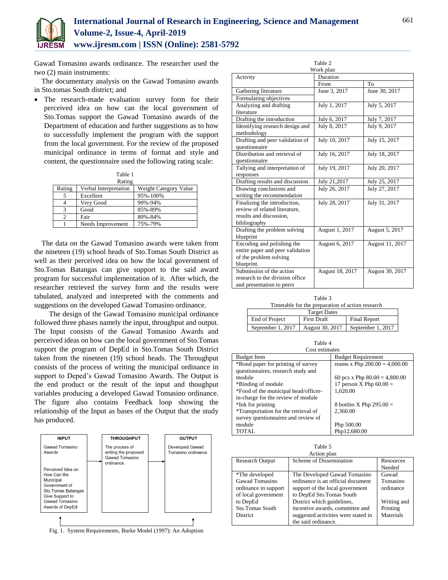

Gawad Tomasino awards ordinance. The researcher used the two (2) main instruments:

The documentary analysis on the Gawad Tomasino awards in Sto.tomas South district; and

 The research-made evaluation survey form for their perceived idea on how can the local government of Sto.Tomas support the Gawad Tomasino awards of the Department of education and further suggestions as to how to successfully implement the program with the support from the local government. For the review of the proposed municipal ordinance in terms of format and style and content, the questionnaire used the following rating scale:

| Table 1 |                       |                       |  |  |
|---------|-----------------------|-----------------------|--|--|
|         | Rating                |                       |  |  |
| Rating  | Verbal Interpretation | Weight Category Value |  |  |
| 5       | Excellent             | 95%-100%              |  |  |
|         | Very Good             | 90%-94%               |  |  |
| 3       | Good                  | 85%-89%               |  |  |
| 2       | Fair                  | 80%-84%               |  |  |
|         | Needs Improvement     | 75%-79%               |  |  |

The data on the Gawad Tomasino awards were taken from the nineteen (19) school heads of Sto.Tomas South District as well as their perceived idea on how the local government of Sto.Tomas Batangas can give support to the said award program for successful implementation of it. After which, the researcher retrieved the survey form and the results were tabulated, analyzed and interpreted with the comments and suggestions on the developed Gawad Tomasino ordinance.

The design of the Gawad Tomasino municipal ordinance followed three phases namely the input, throughput and output. The Input consists of the Gawad Tomasino Awards and perceived ideas on how can the local government of Sto.Tomas support the program of DepEd in Sto.Tomas South District taken from the nineteen (19) school heads. The Throughput consists of the process of writing the municipal ordinance in support to Deped's Gawad Tomasino Awards. The Output is the end product or the result of the input and thoughput variables producing a developed Gawad Tomasino ordinance. The figure also contains Feedback loop showing the relationship of the Input as bases of the Output that the study has produced.



Fig. 1. System Requirements, Burke Model (1997): An Adoption

| Table 2                          |                 |                 |  |  |
|----------------------------------|-----------------|-----------------|--|--|
|                                  | Work plan       |                 |  |  |
| Activity                         | Duration        |                 |  |  |
|                                  | From            | To              |  |  |
| Gathering literature             | June 3, 2017    | June 30, 2017   |  |  |
| Formulating objectives           |                 |                 |  |  |
| Analyzing and drafting           | July 1, 2017    | July 5, 2017    |  |  |
| literature                       |                 |                 |  |  |
| Drafting the introduction        | July 6, 2017    | July 7, 2017    |  |  |
| Identifying research design and  | July 8, 2017    | July 9, 2017    |  |  |
| methodology                      |                 |                 |  |  |
| Drafting and peer validation of  | July 10, 2017   | July 15, 2017   |  |  |
| questionnaire                    |                 |                 |  |  |
| Distribution and retrieval of    | July 16, 2017   | July 18, 2017   |  |  |
| questionnaire                    |                 |                 |  |  |
| Tallying and interpretation of   | July 19, 2017   | July 20, 2017   |  |  |
| responses                        |                 |                 |  |  |
| Drafting results and discussion  | July 21,2017    | July 25, 2017   |  |  |
| Drawing conclusions and          | July 26, 2017   | July 27, 2017   |  |  |
| writing the recommendation       |                 |                 |  |  |
| Finalizing the introduction,     | July 28, 2017   | July 31, 2017   |  |  |
| review of related literature,    |                 |                 |  |  |
| results and discussion,          |                 |                 |  |  |
| bibliography                     |                 |                 |  |  |
| Drafting the problem solving     | August 1, 2017  | August 5, 2017  |  |  |
| blueprint                        |                 |                 |  |  |
| Encoding and polishing the       | August 6, 2017  | August 11, 2017 |  |  |
| entire paper and peer validation |                 |                 |  |  |
| of the problem solving           |                 |                 |  |  |
| blueprint.                       |                 |                 |  |  |
| Submission of the action         | August 18, 2017 | August 30, 2017 |  |  |
| research to the division office  |                 |                 |  |  |
| and presentation to peers        |                 |                 |  |  |

| Table 3                                          |  |
|--------------------------------------------------|--|
| Timetable for the preparation of action research |  |
| <b>Target Dates</b>                              |  |
|                                                  |  |

| End of Project    | <b>First Draft</b> | <b>Final Report</b> |
|-------------------|--------------------|---------------------|
| September 1, 2017 | August 30, 2017    | September 1. $2017$ |

Г

| Table 4<br>Cost estimates            |                                 |  |  |
|--------------------------------------|---------------------------------|--|--|
| <b>Budget Item</b>                   | <b>Budget Requirement</b>       |  |  |
| *Bond paper for printing of survey   | reams x Php $200.00 = 4,000.00$ |  |  |
| questionnaires, research study and   |                                 |  |  |
| module                               | 60 pcs x Php $80.00 = 4,800.00$ |  |  |
| *Binding of module                   | 17 person X Php $60.00 =$       |  |  |
| *Food of the municipal head/officer- | 1.020.00                        |  |  |
| in-charge for the review of module   |                                 |  |  |
| *Ink for printing                    | 8 bottles X Php $295.00 =$      |  |  |
| *Transportation for the retrieval of | 2.360.00                        |  |  |
| survey questionnaires and review of  |                                 |  |  |
| module                               | Php 500.00                      |  |  |
| <b>TOTAL</b>                         | Php12,680.00                    |  |  |
|                                      |                                 |  |  |

Table 5

| Action plan            |                                     |             |  |  |
|------------------------|-------------------------------------|-------------|--|--|
| <b>Research Output</b> | Scheme of Dissemination             | Resources   |  |  |
|                        |                                     | Needed      |  |  |
| *The developed         | The Developed Gawad Tomasino        | Gawad       |  |  |
| Gawad Tomasino         | ordinance is an official document   | Tomasino    |  |  |
| ordinance in support   | support of the local government     | ordinance   |  |  |
| of local government    | to DepEd Sto.Tomas South            |             |  |  |
| to DepEd               | District which guidelines,          | Writing and |  |  |
| Sto.Tomas South        | incentive awards, committee and     | Printing    |  |  |
| District               | suggested activities were stated in | Materials   |  |  |
|                        | the said ordinance.                 |             |  |  |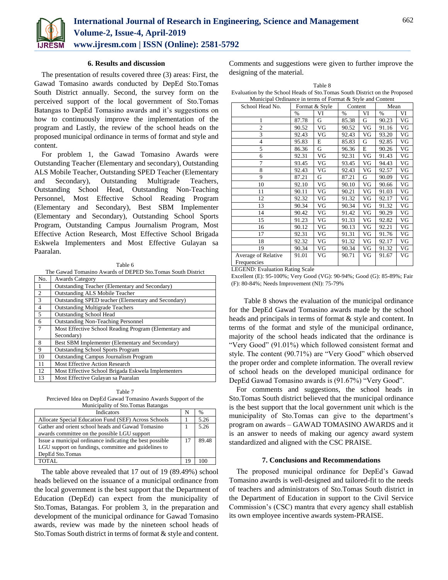

#### **6. Results and discussion**

The presentation of results covered three (3) areas: First, the Gawad Tomasino awards conducted by DepEd Sto.Tomas South District annually. Second, the survey form on the perceived support of the local government of Sto.Tomas Batangas to DepEd Tomasino awards and it's suggestions on how to continuously improve the implementation of the program and Lastly, the review of the school heads on the proposed municipal ordinance in terms of format and style and content.

For problem 1, the Gawad Tomasino Awards were Outstanding Teacher (Elementary and secondary), Outstanding ALS Mobile Teacher, Outstanding SPED Teacher (Elementary and Secondary), Outstanding Multigrade Teachers, Outstanding School Head, Outstanding Non-Teaching Personnel, Most Effective School Reading Program (Elementary and Secondary), Best SBM Implementer (Elementary and Secondary), Outstanding School Sports Program, Outstanding Campus Journalism Program, Most Effective Action Research, Most Effective School Brigada Eskwela Implementers and Most Effective Gulayan sa Paaralan.

The Gawad Tomasino Awards of DEPED Sto.Tomas South District

| No.            | <b>Awards Category</b>                                |
|----------------|-------------------------------------------------------|
|                | Outstanding Teacher (Elementary and Secondary)        |
| 2              | <b>Outstanding ALS Mobile Teacher</b>                 |
| 3              | Outstanding SPED teacher (Elementary and Secondary)   |
| $\overline{4}$ | <b>Outstanding Multigrade Teachers</b>                |
| 5              | <b>Outstanding School Head</b>                        |
| 6              | <b>Outstanding Non-Teaching Personnel</b>             |
| $\overline{7}$ | Most Effective School Reading Program (Elementary and |
|                | Secondary)                                            |
| 8              | Best SBM Implementer (Elementary and Secondary)       |
| 9              | <b>Outstanding School Sports Program</b>              |
| 10             | <b>Outstanding Campus Journalism Program</b>          |
| 11             | Most Effective Action Research                        |
| 12             | Most Effective School Brigada Eskwela Implementers    |
| 13             | Most Effective Gulayan sa Paaralan                    |

Table 7 Percieved Idea on DepEd Gawad Tomasino Awards Support of the Municipality of Sto.Tomas Batangas

| manneipant, or biotromas Datangas                        |    |      |
|----------------------------------------------------------|----|------|
| <b>Indicators</b>                                        | N  | $\%$ |
| Allocate Special Education Fund (SEF) Across Schools     |    | 5.26 |
| Gather and orient school heads and Gawad Tomasino        |    | 5.26 |
| awards committee on the possible LGU support             |    |      |
| Issue a municipal ordinance indicating the best possible | 17 | 8948 |
| LGU support on fundings, committee and guidelines to     |    |      |
| DepEd Sto.Tomas                                          |    |      |
| TOTAL                                                    |    |      |

The table above revealed that 17 out of 19 (89.49%) school heads believed on the issuance of a municipal ordinance from the local government is the best support that the Department of Education (DepEd) can expect from the municipality of Sto.Tomas, Batangas. For problem 3, in the preparation and development of the municipal ordinance for Gawad Tomasino awards, review was made by the nineteen school heads of Sto.Tomas South district in terms of format & style and content.

Comments and suggestions were given to further improve the designing of the material.

| . .<br>۹<br>×<br>٧ |  |
|--------------------|--|
|--------------------|--|

Evaluation by the School Heads of Sto.Tomas South District on the Proposed Municipal Ordinance in terms of Format & Style and Content

| School Head No.     | Format & Style |    | Content |    | Mean  |    |
|---------------------|----------------|----|---------|----|-------|----|
|                     | $\%$           | VI | $\%$    | VI | $\%$  | VI |
| 1                   | 87.78          | G  | 85.38   | G  | 90.23 | VG |
| $\overline{2}$      | 90.52          | VG | 90.52   | VG | 91.16 | VG |
| 3                   | 92.43          | VG | 92.43   | VG | 93.20 | VG |
| $\overline{4}$      | 95.83          | E  | 85.83   | G  | 92.85 | VG |
| 5                   | 86.36          | G  | 96.36   | E  | 90.26 | VG |
| 6                   | 92.31          | VG | 92.31   | VG | 91.43 | VG |
| 7                   | 93.45          | VG | 93.45   | VG | 94.43 | VG |
| 8                   | 92.43          | VG | 92.43   | VG | 92.57 | VG |
| 9                   | 87.21          | G  | 87.21   | G  | 90.09 | VG |
| 10                  | 92.10          | VG | 90.10   | VG | 90.66 | VG |
| 11                  | 90.11          | VG | 90.21   | VG | 91.03 | VG |
| 12                  | 92.32          | VG | 91.32   | VG | 92.17 | VG |
| 13                  | 90.34          | VG | 90.34   | VG | 91.32 | VG |
| 14                  | 90.42          | VG | 91.42   | VG | 90.29 | VG |
| 15                  | 91.23          | VG | 91.33   | VG | 92.82 | VG |
| 16                  | 90.12          | VG | 90.13   | VG | 92.21 | VG |
| 17                  | 92.31          | VG | 91.31   | VG | 91.76 | VG |
| 18                  | 92.32          | VG | 91.32   | VG | 92.17 | VG |
| 19                  | 90.34          | VG | 90.34   | VG | 91.32 | VG |
| Average of Relative | 91.01          | VG | 90.71   | VG | 91.67 | VG |
| Frequencies         |                |    |         |    |       |    |

LEGEND: Evaluation Rating Scale

Excellent (E): 95-100%; Very Good (VG): 90-94%; Good (G): 85-89%; Fair (F): 80-84%; Needs Improvement (NI): 75-79%

Table 8 shows the evaluation of the municipal ordinance for the DepEd Gawad Tomasino awards made by the school heads and principals in terms of format & style and content. In terms of the format and style of the municipal ordinance, majority of the school heads indicated that the ordinance is "Very Good" (91.01%) which followed consistent format and style. The content (90.71%) are "Very Good" which observed the proper order and complete information. The overall review of school heads on the developed municipal ordinance for DepEd Gawad Tomasino awards is (91.67%) "Very Good".

For comments and suggestions, the school heads in Sto.Tomas South district believed that the municipal ordinance is the best support that the local government unit which is the municipality of Sto.Tomas can give to the department's program on awards – GAWAD TOMASINO AWARDS and it is an answer to needs of making our agency award system standardized and aligned with the CSC PRAISE.

## **7. Conclusions and Recommendations**

The proposed municipal ordinance for DepEd's Gawad Tomasino awards is well-designed and tailored-fit to the needs of teachers and administrators of Sto.Tomas South district in the Department of Education in support to the Civil Service Commission's (CSC) mantra that every agency shall establish its own employee incentive awards system-PRAISE.